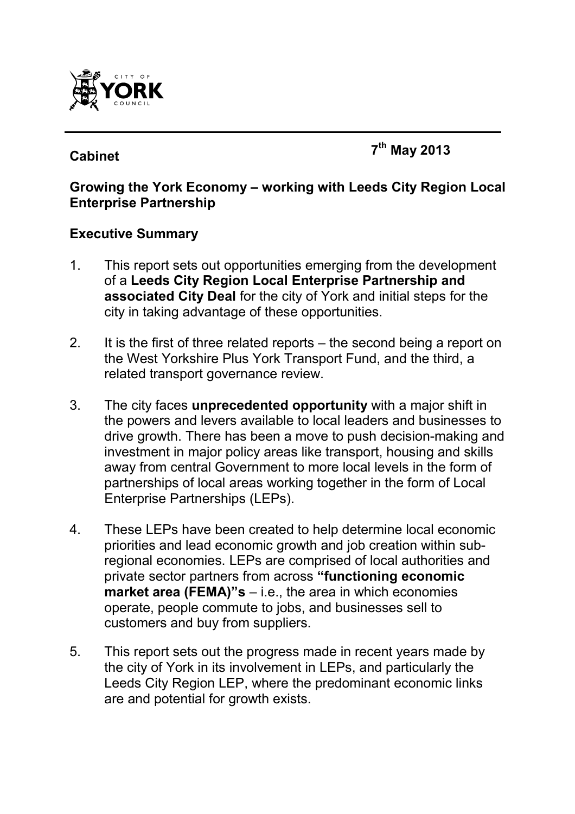

# **Cabinet <sup>7</sup>**

**th May 2013** 

#### **Growing the York Economy – working with Leeds City Region Local Enterprise Partnership**

#### **Executive Summary**

- 1. This report sets out opportunities emerging from the development of a **Leeds City Region Local Enterprise Partnership and associated City Deal** for the city of York and initial steps for the city in taking advantage of these opportunities.
- 2. It is the first of three related reports the second being a report on the West Yorkshire Plus York Transport Fund, and the third, a related transport governance review.
- 3. The city faces **unprecedented opportunity** with a major shift in the powers and levers available to local leaders and businesses to drive growth. There has been a move to push decision-making and investment in major policy areas like transport, housing and skills away from central Government to more local levels in the form of partnerships of local areas working together in the form of Local Enterprise Partnerships (LEPs).
- 4. These LEPs have been created to help determine local economic priorities and lead economic growth and job creation within subregional economies. LEPs are comprised of local authorities and private sector partners from across **"functioning economic market area (FEMA)"s** – i.e., the area in which economies operate, people commute to jobs, and businesses sell to customers and buy from suppliers.
- 5. This report sets out the progress made in recent years made by the city of York in its involvement in LEPs, and particularly the Leeds City Region LEP, where the predominant economic links are and potential for growth exists.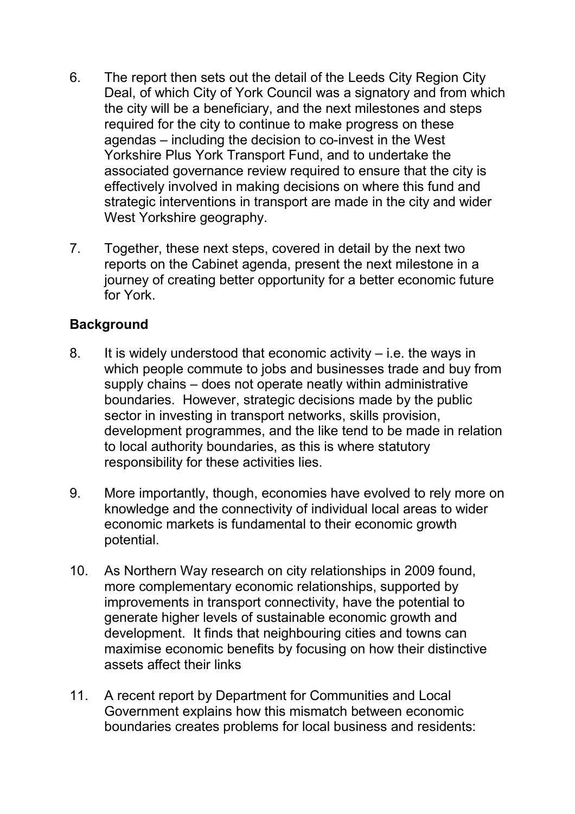- 6. The report then sets out the detail of the Leeds City Region City Deal, of which City of York Council was a signatory and from which the city will be a beneficiary, and the next milestones and steps required for the city to continue to make progress on these agendas – including the decision to co-invest in the West Yorkshire Plus York Transport Fund, and to undertake the associated governance review required to ensure that the city is effectively involved in making decisions on where this fund and strategic interventions in transport are made in the city and wider West Yorkshire geography.
- 7. Together, these next steps, covered in detail by the next two reports on the Cabinet agenda, present the next milestone in a journey of creating better opportunity for a better economic future for York.

### **Background**

- 8. It is widely understood that economic activity i.e. the ways in which people commute to jobs and businesses trade and buy from supply chains – does not operate neatly within administrative boundaries. However, strategic decisions made by the public sector in investing in transport networks, skills provision, development programmes, and the like tend to be made in relation to local authority boundaries, as this is where statutory responsibility for these activities lies.
- 9. More importantly, though, economies have evolved to rely more on knowledge and the connectivity of individual local areas to wider economic markets is fundamental to their economic growth potential.
- 10. As Northern Way research on city relationships in 2009 found, more complementary economic relationships, supported by improvements in transport connectivity, have the potential to generate higher levels of sustainable economic growth and development. It finds that neighbouring cities and towns can maximise economic benefits by focusing on how their distinctive assets affect their links
- 11. A recent report by Department for Communities and Local Government explains how this mismatch between economic boundaries creates problems for local business and residents: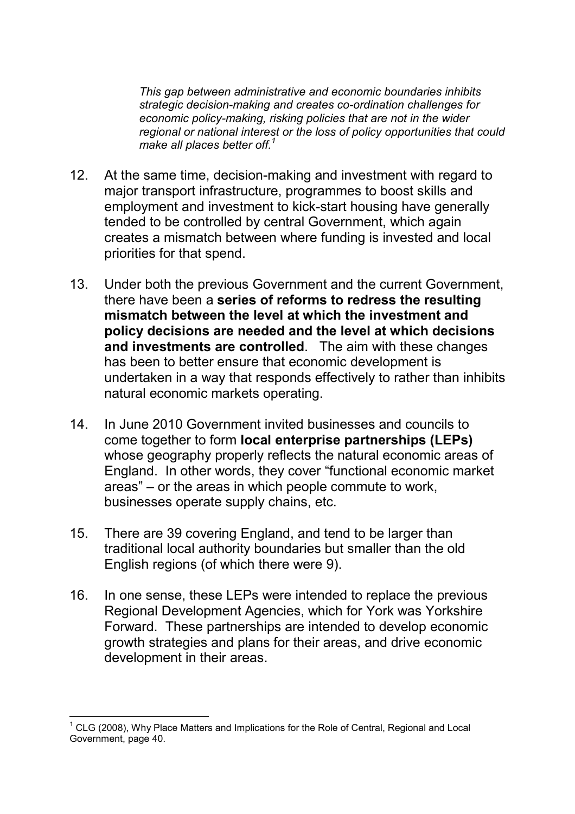*This gap between administrative and economic boundaries inhibits strategic decision-making and creates co-ordination challenges for economic policy-making, risking policies that are not in the wider regional or national interest or the loss of policy opportunities that could make all places better off.<sup>1</sup>*

- 12. At the same time, decision-making and investment with regard to major transport infrastructure, programmes to boost skills and employment and investment to kick-start housing have generally tended to be controlled by central Government, which again creates a mismatch between where funding is invested and local priorities for that spend.
- 13. Under both the previous Government and the current Government, there have been a **series of reforms to redress the resulting mismatch between the level at which the investment and policy decisions are needed and the level at which decisions and investments are controlled**. The aim with these changes has been to better ensure that economic development is undertaken in a way that responds effectively to rather than inhibits natural economic markets operating.
- 14. In June 2010 Government invited businesses and councils to come together to form **local enterprise partnerships (LEPs)**  whose geography properly reflects the natural economic areas of England. In other words, they cover "functional economic market areas" – or the areas in which people commute to work, businesses operate supply chains, etc.
- 15. There are 39 covering England, and tend to be larger than traditional local authority boundaries but smaller than the old English regions (of which there were 9).
- 16. In one sense, these LEPs were intended to replace the previous Regional Development Agencies, which for York was Yorkshire Forward. These partnerships are intended to develop economic growth strategies and plans for their areas, and drive economic development in their areas.

 $\overline{\phantom{a}}$  $1$  CLG (2008), Why Place Matters and Implications for the Role of Central, Regional and Local Government, page 40.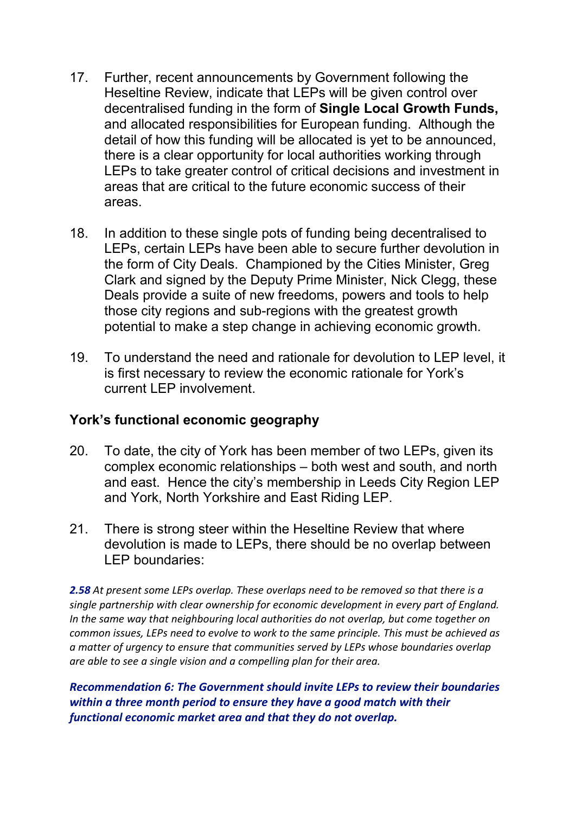- 17. Further, recent announcements by Government following the Heseltine Review, indicate that LEPs will be given control over decentralised funding in the form of **Single Local Growth Funds,** and allocated responsibilities for European funding. Although the detail of how this funding will be allocated is yet to be announced, there is a clear opportunity for local authorities working through LEPs to take greater control of critical decisions and investment in areas that are critical to the future economic success of their areas.
- 18. In addition to these single pots of funding being decentralised to LEPs, certain LEPs have been able to secure further devolution in the form of City Deals. Championed by the Cities Minister, Greg Clark and signed by the Deputy Prime Minister, Nick Clegg, these Deals provide a suite of new freedoms, powers and tools to help those city regions and sub-regions with the greatest growth potential to make a step change in achieving economic growth.
- 19. To understand the need and rationale for devolution to LEP level, it is first necessary to review the economic rationale for York's current LEP involvement.

## **York's functional economic geography**

- 20. To date, the city of York has been member of two LEPs, given its complex economic relationships – both west and south, and north and east. Hence the city's membership in Leeds City Region LEP and York, North Yorkshire and East Riding LEP.
- 21. There is strong steer within the Heseltine Review that where devolution is made to LEPs, there should be no overlap between LEP boundaries:

*2.58 At present some LEPs overlap. These overlaps need to be removed so that there is a single partnership with clear ownership for economic development in every part of England. In the same way that neighbouring local authorities do not overlap, but come together on common issues, LEPs need to evolve to work to the same principle. This must be achieved as a matter of urgency to ensure that communities served by LEPs whose boundaries overlap are able to see a single vision and a compelling plan for their area.*

*Recommendation 6: The Government should invite LEPs to review their boundaries within a three month period to ensure they have a good match with their functional economic market area and that they do not overlap.*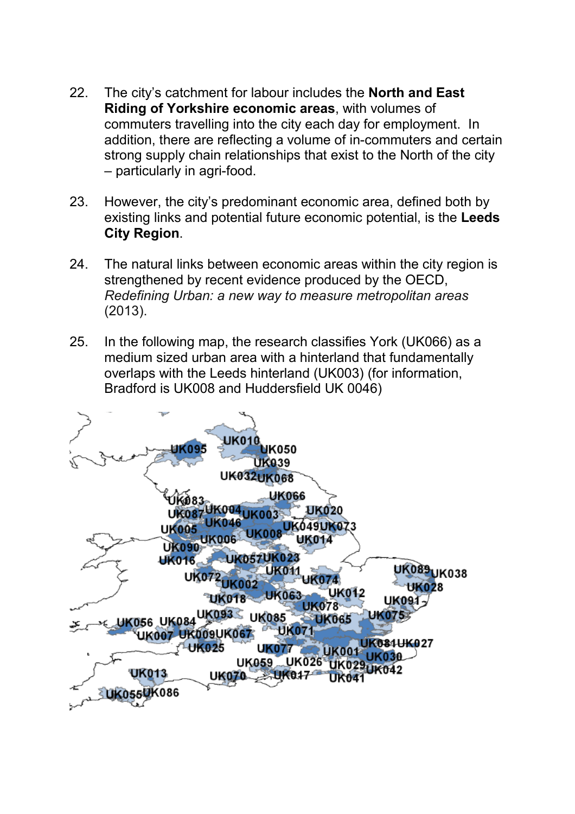- 22. The city's catchment for labour includes the **North and East Riding of Yorkshire economic areas**, with volumes of commuters travelling into the city each day for employment. In addition, there are reflecting a volume of in-commuters and certain strong supply chain relationships that exist to the North of the city – particularly in agri-food.
- 23. However, the city's predominant economic area, defined both by existing links and potential future economic potential, is the **Leeds City Region**.
- 24. The natural links between economic areas within the city region is strengthened by recent evidence produced by the OECD, *Redefining Urban: a new way to measure metropolitan areas* (2013).
- 25. In the following map, the research classifies York (UK066) as a medium sized urban area with a hinterland that fundamentally overlaps with the Leeds hinterland (UK003) (for information, Bradford is UK008 and Huddersfield UK 0046)

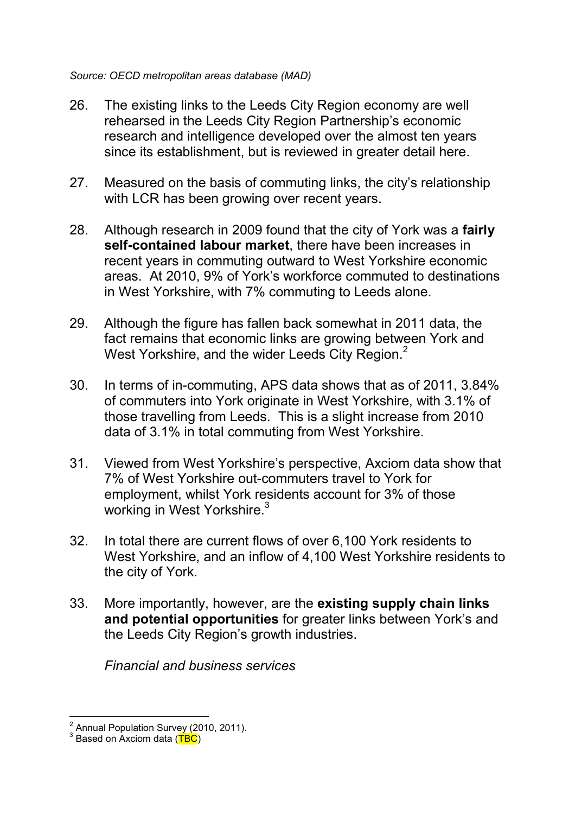- 26. The existing links to the Leeds City Region economy are well rehearsed in the Leeds City Region Partnership's economic research and intelligence developed over the almost ten years since its establishment, but is reviewed in greater detail here.
- 27. Measured on the basis of commuting links, the city's relationship with LCR has been growing over recent years.
- 28. Although research in 2009 found that the city of York was a **fairly self-contained labour market**, there have been increases in recent years in commuting outward to West Yorkshire economic areas. At 2010, 9% of York's workforce commuted to destinations in West Yorkshire, with 7% commuting to Leeds alone.
- 29. Although the figure has fallen back somewhat in 2011 data, the fact remains that economic links are growing between York and West Yorkshire, and the wider Leeds City Region. $2$
- 30. In terms of in-commuting, APS data shows that as of 2011, 3.84% of commuters into York originate in West Yorkshire, with 3.1% of those travelling from Leeds. This is a slight increase from 2010 data of 3.1% in total commuting from West Yorkshire.
- 31. Viewed from West Yorkshire's perspective, Axciom data show that 7% of West Yorkshire out-commuters travel to York for employment, whilst York residents account for 3% of those working in West Yorkshire. $3$
- 32. In total there are current flows of over 6,100 York residents to West Yorkshire, and an inflow of 4,100 West Yorkshire residents to the city of York.
- 33. More importantly, however, are the **existing supply chain links and potential opportunities** for greater links between York's and the Leeds City Region's growth industries.

*Financial and business services* 

 2 Annual Population Survey (2010, 2011).

<sup>&</sup>lt;sup>3</sup> Based on Axciom data (TBC)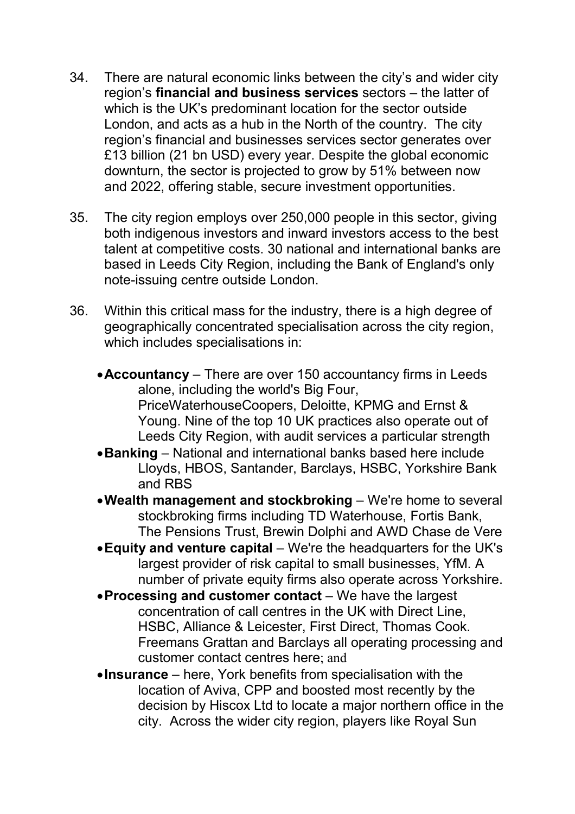- 34. There are natural economic links between the city's and wider city region's **financial and business services** sectors – the latter of which is the UK's predominant location for the sector outside London, and acts as a hub in the North of the country. The city region's financial and businesses services sector generates over £13 billion (21 bn USD) every year. Despite the global economic downturn, the sector is projected to grow by 51% between now and 2022, offering stable, secure investment opportunities.
- 35. The city region employs over 250,000 people in this sector, giving both indigenous investors and inward investors access to the best talent at competitive costs. 30 national and international banks are based in Leeds City Region, including the Bank of England's only note-issuing centre outside London.
- 36. Within this critical mass for the industry, there is a high degree of geographically concentrated specialisation across the city region, which includes specialisations in:
	- •**Accountancy** There are over 150 accountancy firms in Leeds alone, including the world's Big Four, PriceWaterhouseCoopers, Deloitte, KPMG and Ernst & Young. Nine of the top 10 UK practices also operate out of Leeds City Region, with audit services a particular strength
	- •**Banking**  National and international banks based here include Lloyds, HBOS, Santander, Barclays, HSBC, Yorkshire Bank and RBS
	- •**Wealth management and stockbroking**  We're home to several stockbroking firms including TD Waterhouse, Fortis Bank, The Pensions Trust, Brewin Dolphi and AWD Chase de Vere
	- •**Equity and venture capital**  We're the headquarters for the UK's largest provider of risk capital to small businesses, YfM. A number of private equity firms also operate across Yorkshire.
	- •**Processing and customer contact** We have the largest concentration of call centres in the UK with Direct Line, HSBC, Alliance & Leicester, First Direct, Thomas Cook. Freemans Grattan and Barclays all operating processing and customer contact centres here; and
	- •**Insurance**  here, York benefits from specialisation with the location of Aviva, CPP and boosted most recently by the decision by Hiscox Ltd to locate a major northern office in the city. Across the wider city region, players like Royal Sun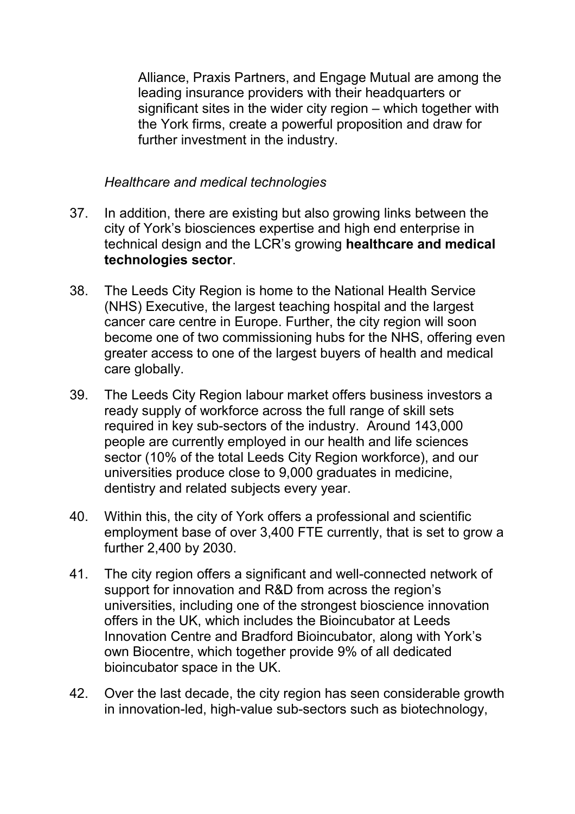Alliance, Praxis Partners, and Engage Mutual are among the leading insurance providers with their headquarters or significant sites in the wider city region – which together with the York firms, create a powerful proposition and draw for further investment in the industry.

*Healthcare and medical technologies* 

- 37. In addition, there are existing but also growing links between the city of York's biosciences expertise and high end enterprise in technical design and the LCR's growing **healthcare and medical technologies sector**.
- 38. The Leeds City Region is home to the National Health Service (NHS) Executive, the largest teaching hospital and the largest cancer care centre in Europe. Further, the city region will soon become one of two commissioning hubs for the NHS, offering even greater access to one of the largest buyers of health and medical care globally.
- 39. The Leeds City Region labour market offers business investors a ready supply of workforce across the full range of skill sets required in key sub-sectors of the industry. Around 143,000 people are currently employed in our health and life sciences sector (10% of the total Leeds City Region workforce), and our universities produce close to 9,000 graduates in medicine, dentistry and related subjects every year.
- 40. Within this, the city of York offers a professional and scientific employment base of over 3,400 FTE currently, that is set to grow a further 2,400 by 2030.
- 41. The city region offers a significant and well-connected network of support for innovation and R&D from across the region's universities, including one of the strongest bioscience innovation offers in the UK, which includes the Bioincubator at Leeds Innovation Centre and Bradford Bioincubator, along with York's own Biocentre, which together provide 9% of all dedicated bioincubator space in the UK.
- 42. Over the last decade, the city region has seen considerable growth in innovation-led, high-value sub-sectors such as biotechnology,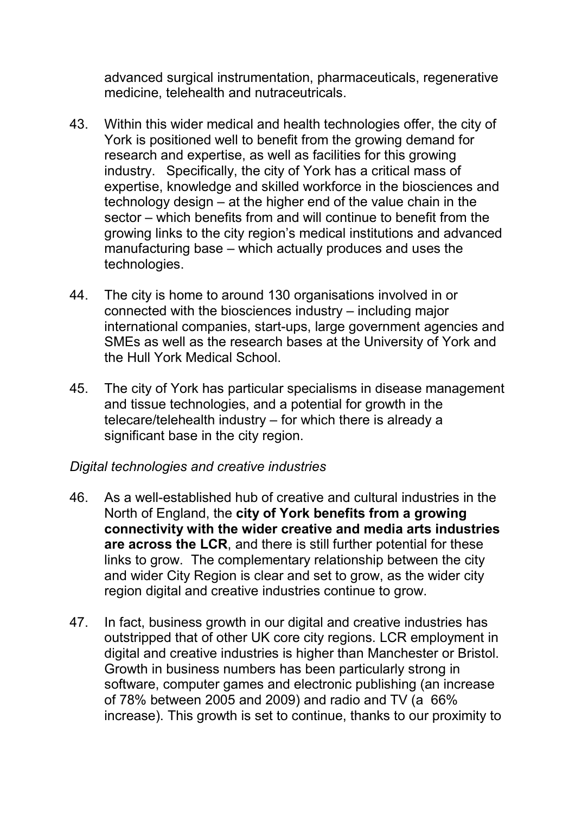advanced surgical instrumentation, pharmaceuticals, regenerative medicine, telehealth and nutraceutricals.

- 43. Within this wider medical and health technologies offer, the city of York is positioned well to benefit from the growing demand for research and expertise, as well as facilities for this growing industry. Specifically, the city of York has a critical mass of expertise, knowledge and skilled workforce in the biosciences and technology design – at the higher end of the value chain in the sector – which benefits from and will continue to benefit from the growing links to the city region's medical institutions and advanced manufacturing base – which actually produces and uses the technologies.
- 44. The city is home to around 130 organisations involved in or connected with the biosciences industry – including major international companies, start-ups, large government agencies and SMEs as well as the research bases at the University of York and the Hull York Medical School.
- 45. The city of York has particular specialisms in disease management and tissue technologies, and a potential for growth in the telecare/telehealth industry – for which there is already a significant base in the city region.

#### *Digital technologies and creative industries*

- 46. As a well-established hub of creative and cultural industries in the North of England, the **city of York benefits from a growing connectivity with the wider creative and media arts industries are across the LCR**, and there is still further potential for these links to grow. The complementary relationship between the city and wider City Region is clear and set to grow, as the wider city region digital and creative industries continue to grow.
- 47. In fact, business growth in our digital and creative industries has outstripped that of other UK core city regions. LCR employment in digital and creative industries is higher than Manchester or Bristol. Growth in business numbers has been particularly strong in software, computer games and electronic publishing (an increase of 78% between 2005 and 2009) and radio and TV (a 66% increase). This growth is set to continue, thanks to our proximity to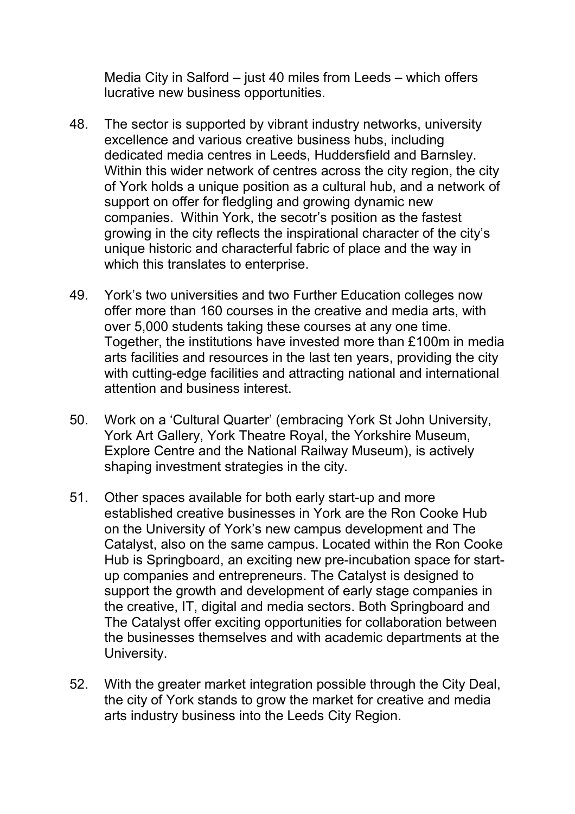Media City in Salford – just 40 miles from Leeds – which offers lucrative new business opportunities.

- 48. The sector is supported by vibrant industry networks, university excellence and various creative business hubs, including dedicated media centres in Leeds, Huddersfield and Barnsley. Within this wider network of centres across the city region, the city of York holds a unique position as a cultural hub, and a network of support on offer for fledgling and growing dynamic new companies. Within York, the secotr's position as the fastest growing in the city reflects the inspirational character of the city's unique historic and characterful fabric of place and the way in which this translates to enterprise.
- 49. York's two universities and two Further Education colleges now offer more than 160 courses in the creative and media arts, with over 5,000 students taking these courses at any one time. Together, the institutions have invested more than £100m in media arts facilities and resources in the last ten years, providing the city with cutting-edge facilities and attracting national and international attention and business interest.
- 50. Work on a 'Cultural Quarter' (embracing York St John University, York Art Gallery, York Theatre Royal, the Yorkshire Museum, Explore Centre and the National Railway Museum), is actively shaping investment strategies in the city.
- 51. Other spaces available for both early start-up and more established creative businesses in York are the Ron Cooke Hub on the University of York's new campus development and The Catalyst, also on the same campus. Located within the Ron Cooke Hub is Springboard, an exciting new pre-incubation space for startup companies and entrepreneurs. The Catalyst is designed to support the growth and development of early stage companies in the creative, IT, digital and media sectors. Both Springboard and The Catalyst offer exciting opportunities for collaboration between the businesses themselves and with academic departments at the University.
- 52. With the greater market integration possible through the City Deal, the city of York stands to grow the market for creative and media arts industry business into the Leeds City Region.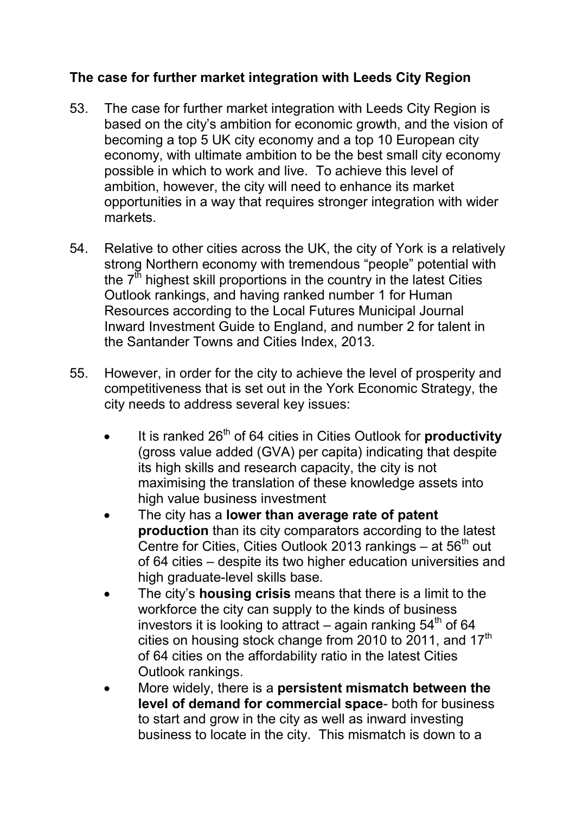## **The case for further market integration with Leeds City Region**

- 53. The case for further market integration with Leeds City Region is based on the city's ambition for economic growth, and the vision of becoming a top 5 UK city economy and a top 10 European city economy, with ultimate ambition to be the best small city economy possible in which to work and live. To achieve this level of ambition, however, the city will need to enhance its market opportunities in a way that requires stronger integration with wider markets.
- 54. Relative to other cities across the UK, the city of York is a relatively strong Northern economy with tremendous "people" potential with the  $7<sup>th</sup>$  highest skill proportions in the country in the latest Cities Outlook rankings, and having ranked number 1 for Human Resources according to the Local Futures Municipal Journal Inward Investment Guide to England, and number 2 for talent in the Santander Towns and Cities Index, 2013.
- 55. However, in order for the city to achieve the level of prosperity and competitiveness that is set out in the York Economic Strategy, the city needs to address several key issues:
	- It is ranked 26<sup>th</sup> of 64 cities in Cities Outlook for **productivity** (gross value added (GVA) per capita) indicating that despite its high skills and research capacity, the city is not maximising the translation of these knowledge assets into high value business investment
	- The city has a **lower than average rate of patent production** than its city comparators according to the latest Centre for Cities, Cities Outlook 2013 rankings  $-$  at 56<sup>th</sup> out of 64 cities – despite its two higher education universities and high graduate-level skills base.
	- The city's **housing crisis** means that there is a limit to the workforce the city can supply to the kinds of business investors it is looking to attract – again ranking  $54<sup>th</sup>$  of 64 cities on housing stock change from 2010 to 2011, and  $17<sup>th</sup>$ of 64 cities on the affordability ratio in the latest Cities Outlook rankings.
	- More widely, there is a **persistent mismatch between the level of demand for commercial space**- both for business to start and grow in the city as well as inward investing business to locate in the city. This mismatch is down to a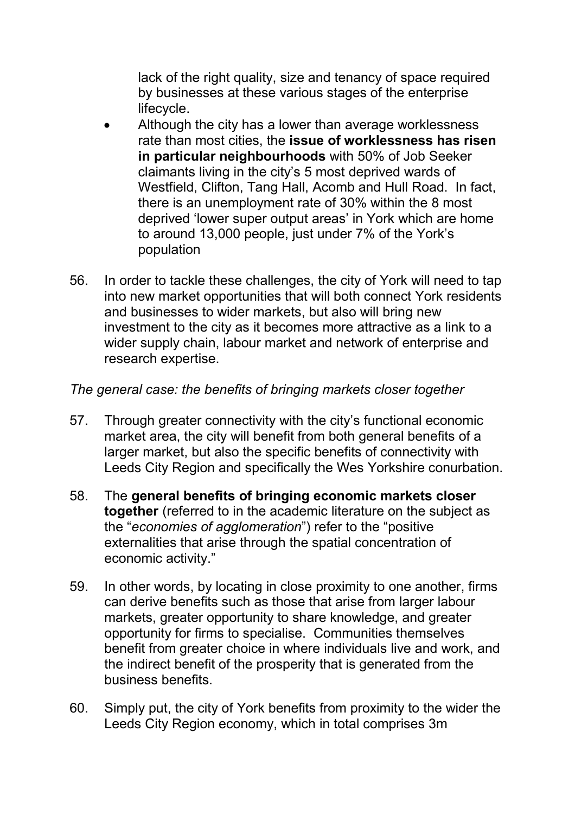lack of the right quality, size and tenancy of space required by businesses at these various stages of the enterprise lifecycle.

- Although the city has a lower than average worklessness rate than most cities, the **issue of worklessness has risen in particular neighbourhoods** with 50% of Job Seeker claimants living in the city's 5 most deprived wards of Westfield, Clifton, Tang Hall, Acomb and Hull Road. In fact, there is an unemployment rate of 30% within the 8 most deprived 'lower super output areas' in York which are home to around 13,000 people, just under 7% of the York's population
- 56. In order to tackle these challenges, the city of York will need to tap into new market opportunities that will both connect York residents and businesses to wider markets, but also will bring new investment to the city as it becomes more attractive as a link to a wider supply chain, labour market and network of enterprise and research expertise.

### *The general case: the benefits of bringing markets closer together*

- 57. Through greater connectivity with the city's functional economic market area, the city will benefit from both general benefits of a larger market, but also the specific benefits of connectivity with Leeds City Region and specifically the Wes Yorkshire conurbation.
- 58. The **general benefits of bringing economic markets closer together** (referred to in the academic literature on the subject as the "*economies of agglomeration*") refer to the "positive externalities that arise through the spatial concentration of economic activity."
- 59. In other words, by locating in close proximity to one another, firms can derive benefits such as those that arise from larger labour markets, greater opportunity to share knowledge, and greater opportunity for firms to specialise. Communities themselves benefit from greater choice in where individuals live and work, and the indirect benefit of the prosperity that is generated from the business benefits.
- 60. Simply put, the city of York benefits from proximity to the wider the Leeds City Region economy, which in total comprises 3m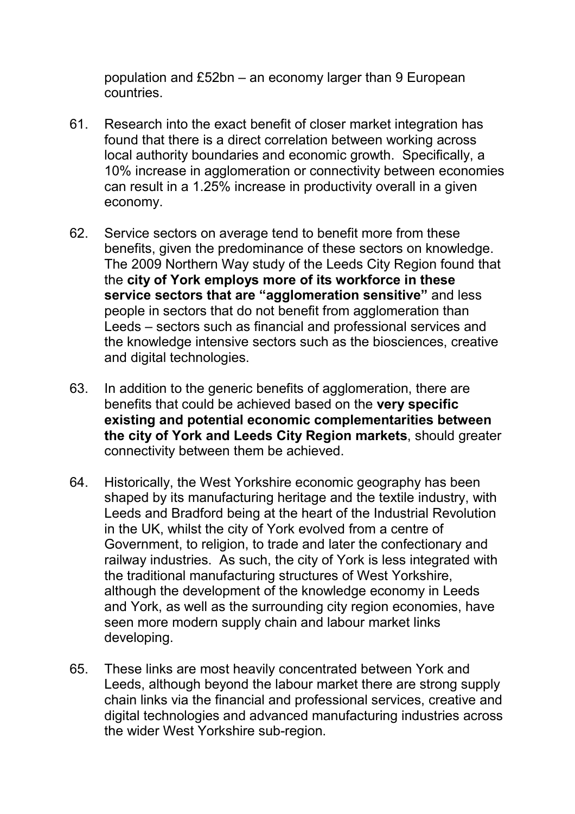population and £52bn – an economy larger than 9 European countries.

- 61. Research into the exact benefit of closer market integration has found that there is a direct correlation between working across local authority boundaries and economic growth. Specifically, a 10% increase in agglomeration or connectivity between economies can result in a 1.25% increase in productivity overall in a given economy.
- 62. Service sectors on average tend to benefit more from these benefits, given the predominance of these sectors on knowledge. The 2009 Northern Way study of the Leeds City Region found that the **city of York employs more of its workforce in these service sectors that are "agglomeration sensitive"** and less people in sectors that do not benefit from agglomeration than Leeds – sectors such as financial and professional services and the knowledge intensive sectors such as the biosciences, creative and digital technologies.
- 63. In addition to the generic benefits of agglomeration, there are benefits that could be achieved based on the **very specific existing and potential economic complementarities between the city of York and Leeds City Region markets**, should greater connectivity between them be achieved.
- 64. Historically, the West Yorkshire economic geography has been shaped by its manufacturing heritage and the textile industry, with Leeds and Bradford being at the heart of the Industrial Revolution in the UK, whilst the city of York evolved from a centre of Government, to religion, to trade and later the confectionary and railway industries. As such, the city of York is less integrated with the traditional manufacturing structures of West Yorkshire, although the development of the knowledge economy in Leeds and York, as well as the surrounding city region economies, have seen more modern supply chain and labour market links developing.
- 65. These links are most heavily concentrated between York and Leeds, although beyond the labour market there are strong supply chain links via the financial and professional services, creative and digital technologies and advanced manufacturing industries across the wider West Yorkshire sub-region.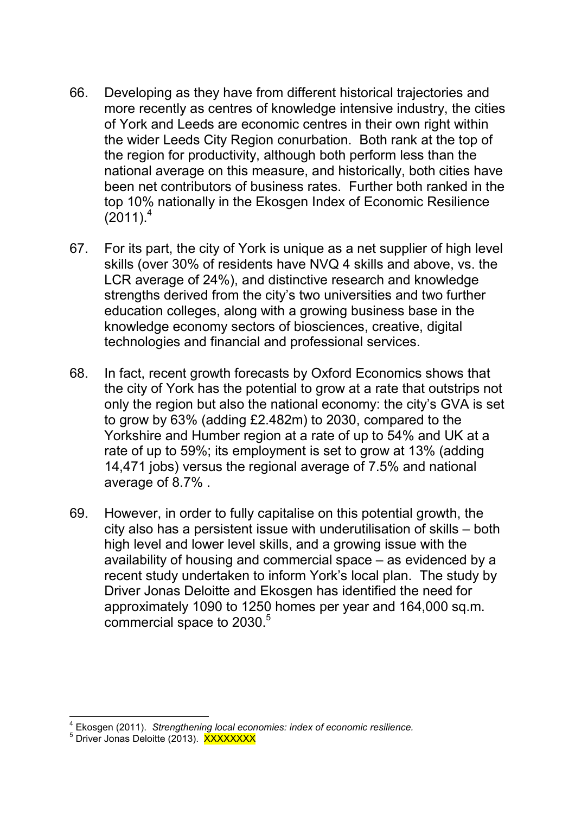- 66. Developing as they have from different historical trajectories and more recently as centres of knowledge intensive industry, the cities of York and Leeds are economic centres in their own right within the wider Leeds City Region conurbation. Both rank at the top of the region for productivity, although both perform less than the national average on this measure, and historically, both cities have been net contributors of business rates. Further both ranked in the top 10% nationally in the Ekosgen Index of Economic Resilience  $(2011)^4$
- 67. For its part, the city of York is unique as a net supplier of high level skills (over 30% of residents have NVQ 4 skills and above, vs. the LCR average of 24%), and distinctive research and knowledge strengths derived from the city's two universities and two further education colleges, along with a growing business base in the knowledge economy sectors of biosciences, creative, digital technologies and financial and professional services.
- 68. In fact, recent growth forecasts by Oxford Economics shows that the city of York has the potential to grow at a rate that outstrips not only the region but also the national economy: the city's GVA is set to grow by 63% (adding £2.482m) to 2030, compared to the Yorkshire and Humber region at a rate of up to 54% and UK at a rate of up to 59%; its employment is set to grow at 13% (adding 14,471 jobs) versus the regional average of 7.5% and national average of 8.7% .
- 69. However, in order to fully capitalise on this potential growth, the city also has a persistent issue with underutilisation of skills – both high level and lower level skills, and a growing issue with the availability of housing and commercial space – as evidenced by a recent study undertaken to inform York's local plan. The study by Driver Jonas Deloitte and Ekosgen has identified the need for approximately 1090 to 1250 homes per year and 164,000 sq.m. commercial space to 2030.<sup>5</sup>

 4 Ekosgen (2011). *Strengthening local economies: index of economic resilience.* 

<sup>&</sup>lt;sup>5</sup> Driver Jonas Deloitte (2013). XXXXXXXX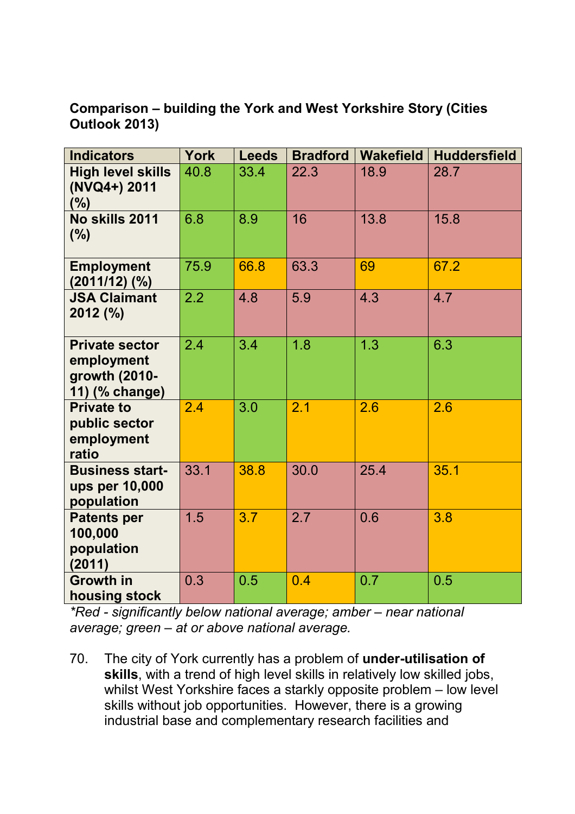**Comparison – building the York and West Yorkshire Story (Cities Outlook 2013)** 

| <b>Indicators</b>                                                      | <b>York</b> | <b>Leeds</b> | <b>Bradford</b> | <b>Wakefield</b> | <b>Huddersfield</b> |
|------------------------------------------------------------------------|-------------|--------------|-----------------|------------------|---------------------|
| <b>High level skills</b><br>(NVQ4+) 2011<br>(%)                        | 40.8        | 33.4         | 22.3            | 18.9             | 28.7                |
| No skills 2011<br>$(\% )$                                              | 6.8         | 8.9          | 16              | 13.8             | 15.8                |
| <b>Employment</b><br>$(2011/12)$ $(\%)$                                | 75.9        | 66.8         | 63.3            | 69               | 67.2                |
| <b>JSA Claimant</b><br>2012 (%)                                        | 2.2         | 4.8          | 5.9             | 4.3              | 4.7                 |
| <b>Private sector</b><br>employment<br>growth (2010-<br>11) (% change) | 2.4         | 3.4          | 1.8             | 1.3              | 6.3                 |
| <b>Private to</b><br>public sector<br>employment<br>ratio              | 2.4         | 3.0          | 2.1             | 2.6              | 2.6                 |
| <b>Business start-</b><br>ups per 10,000<br>population                 | 33.1        | 38.8         | 30.0            | 25.4             | 35.1                |
| <b>Patents per</b><br>100,000<br>population<br>(2011)                  | 1.5         | 3.7          | 2.7             | 0.6              | 3.8                 |
| <b>Growth in</b><br>housing stock                                      | 0.3         | 0.5          | 0.4             | 0.7              | 0.5                 |

*\*Red - significantly below national average; amber – near national average; green – at or above national average.*

70. The city of York currently has a problem of **under-utilisation of skills**, with a trend of high level skills in relatively low skilled jobs, whilst West Yorkshire faces a starkly opposite problem – low level skills without job opportunities. However, there is a growing industrial base and complementary research facilities and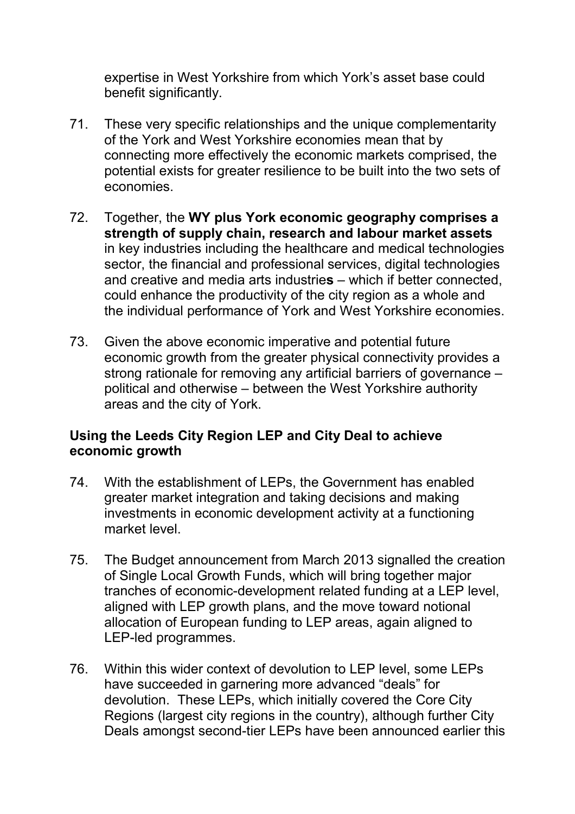expertise in West Yorkshire from which York's asset base could benefit significantly.

- 71. These very specific relationships and the unique complementarity of the York and West Yorkshire economies mean that by connecting more effectively the economic markets comprised, the potential exists for greater resilience to be built into the two sets of economies.
- 72. Together, the **WY plus York economic geography comprises a strength of supply chain, research and labour market assets**  in key industries including the healthcare and medical technologies sector, the financial and professional services, digital technologies and creative and media arts industrie**s** – which if better connected, could enhance the productivity of the city region as a whole and the individual performance of York and West Yorkshire economies.
- 73. Given the above economic imperative and potential future economic growth from the greater physical connectivity provides a strong rationale for removing any artificial barriers of governance – political and otherwise – between the West Yorkshire authority areas and the city of York.

#### **Using the Leeds City Region LEP and City Deal to achieve economic growth**

- 74. With the establishment of LEPs, the Government has enabled greater market integration and taking decisions and making investments in economic development activity at a functioning market level.
- 75. The Budget announcement from March 2013 signalled the creation of Single Local Growth Funds, which will bring together major tranches of economic-development related funding at a LEP level, aligned with LEP growth plans, and the move toward notional allocation of European funding to LEP areas, again aligned to LEP-led programmes.
- 76. Within this wider context of devolution to LEP level, some LEPs have succeeded in garnering more advanced "deals" for devolution. These LEPs, which initially covered the Core City Regions (largest city regions in the country), although further City Deals amongst second-tier LEPs have been announced earlier this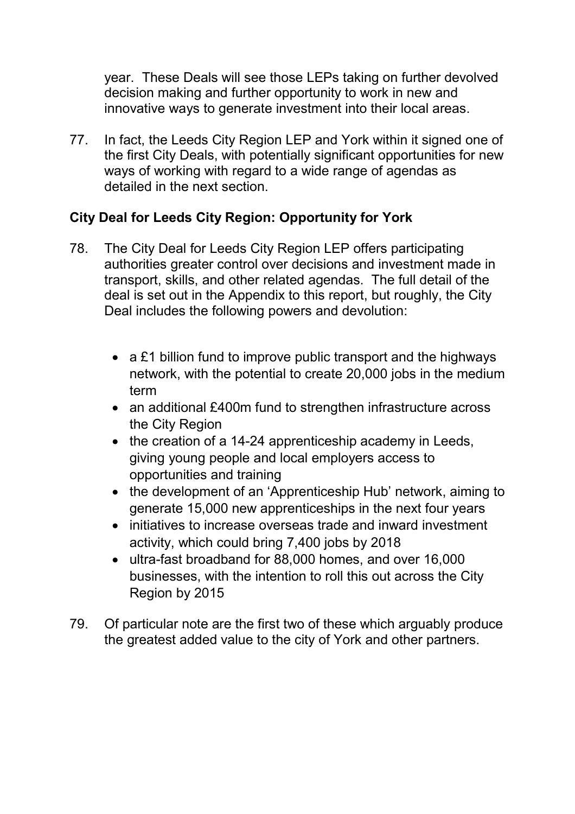year. These Deals will see those LEPs taking on further devolved decision making and further opportunity to work in new and innovative ways to generate investment into their local areas.

77. In fact, the Leeds City Region LEP and York within it signed one of the first City Deals, with potentially significant opportunities for new ways of working with regard to a wide range of agendas as detailed in the next section.

## **City Deal for Leeds City Region: Opportunity for York**

- 78. The City Deal for Leeds City Region LEP offers participating authorities greater control over decisions and investment made in transport, skills, and other related agendas. The full detail of the deal is set out in the Appendix to this report, but roughly, the City Deal includes the following powers and devolution:
	- a £1 billion fund to improve public transport and the highways network, with the potential to create 20,000 jobs in the medium term
	- an additional £400m fund to strengthen infrastructure across the City Region
	- the creation of a 14-24 apprenticeship academy in Leeds, giving young people and local employers access to opportunities and training
	- the development of an 'Apprenticeship Hub' network, aiming to generate 15,000 new apprenticeships in the next four years
	- initiatives to increase overseas trade and inward investment activity, which could bring 7,400 jobs by 2018
	- ultra-fast broadband for 88,000 homes, and over 16,000 businesses, with the intention to roll this out across the City Region by 2015
- 79. Of particular note are the first two of these which arguably produce the greatest added value to the city of York and other partners.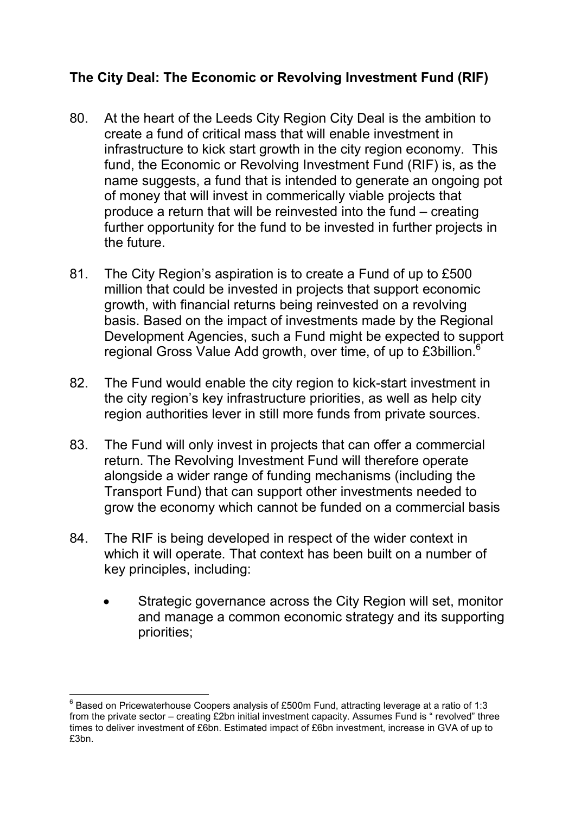## **The City Deal: The Economic or Revolving Investment Fund (RIF)**

- 80. At the heart of the Leeds City Region City Deal is the ambition to create a fund of critical mass that will enable investment in infrastructure to kick start growth in the city region economy. This fund, the Economic or Revolving Investment Fund (RIF) is, as the name suggests, a fund that is intended to generate an ongoing pot of money that will invest in commerically viable projects that produce a return that will be reinvested into the fund – creating further opportunity for the fund to be invested in further projects in the future.
- 81. The City Region's aspiration is to create a Fund of up to £500 million that could be invested in projects that support economic growth, with financial returns being reinvested on a revolving basis. Based on the impact of investments made by the Regional Development Agencies, such a Fund might be expected to support regional Gross Value Add growth, over time, of up to £3billion.<sup>6</sup>
- 82. The Fund would enable the city region to kick-start investment in the city region's key infrastructure priorities, as well as help city region authorities lever in still more funds from private sources.
- 83. The Fund will only invest in projects that can offer a commercial return. The Revolving Investment Fund will therefore operate alongside a wider range of funding mechanisms (including the Transport Fund) that can support other investments needed to grow the economy which cannot be funded on a commercial basis
- 84. The RIF is being developed in respect of the wider context in which it will operate. That context has been built on a number of key principles, including:
	- Strategic governance across the City Region will set, monitor and manage a common economic strategy and its supporting priorities;

 6 Based on Pricewaterhouse Coopers analysis of £500m Fund, attracting leverage at a ratio of 1:3 from the private sector – creating £2bn initial investment capacity. Assumes Fund is " revolved" three times to deliver investment of £6bn. Estimated impact of £6bn investment, increase in GVA of up to £3bn.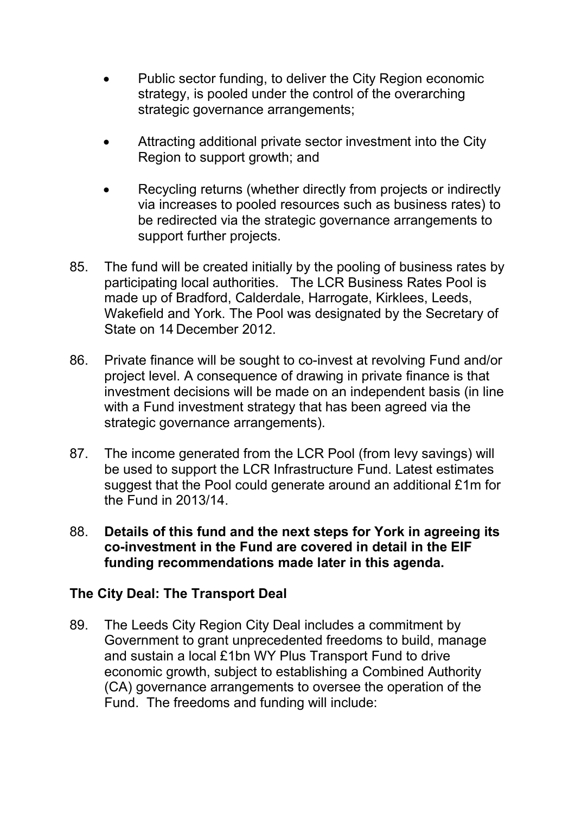- Public sector funding, to deliver the City Region economic strategy, is pooled under the control of the overarching strategic governance arrangements;
- Attracting additional private sector investment into the City Region to support growth; and
- Recycling returns (whether directly from projects or indirectly via increases to pooled resources such as business rates) to be redirected via the strategic governance arrangements to support further projects.
- 85. The fund will be created initially by the pooling of business rates by participating local authorities. The LCR Business Rates Pool is made up of Bradford, Calderdale, Harrogate, Kirklees, Leeds, Wakefield and York. The Pool was designated by the Secretary of State on 14 December 2012.
- 86. Private finance will be sought to co-invest at revolving Fund and/or project level. A consequence of drawing in private finance is that investment decisions will be made on an independent basis (in line with a Fund investment strategy that has been agreed via the strategic governance arrangements).
- 87. The income generated from the LCR Pool (from levy savings) will be used to support the LCR Infrastructure Fund. Latest estimates suggest that the Pool could generate around an additional £1m for the Fund in 2013/14.
- 88. **Details of this fund and the next steps for York in agreeing its co-investment in the Fund are covered in detail in the EIF funding recommendations made later in this agenda.**

#### **The City Deal: The Transport Deal**

89. The Leeds City Region City Deal includes a commitment by Government to grant unprecedented freedoms to build, manage and sustain a local £1bn WY Plus Transport Fund to drive economic growth, subject to establishing a Combined Authority (CA) governance arrangements to oversee the operation of the Fund. The freedoms and funding will include: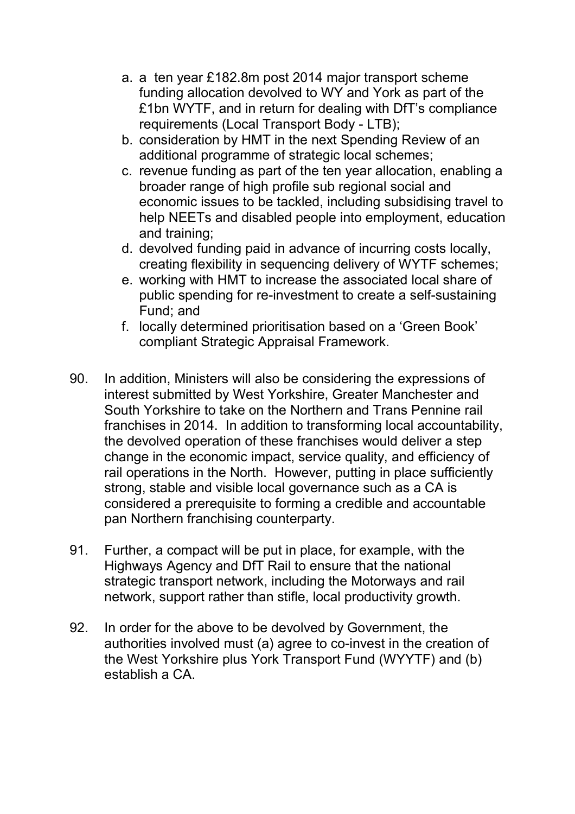- a. a ten year £182.8m post 2014 major transport scheme funding allocation devolved to WY and York as part of the £1bn WYTF, and in return for dealing with DfT's compliance requirements (Local Transport Body - LTB);
- b. consideration by HMT in the next Spending Review of an additional programme of strategic local schemes;
- c. revenue funding as part of the ten year allocation, enabling a broader range of high profile sub regional social and economic issues to be tackled, including subsidising travel to help NEETs and disabled people into employment, education and training;
- d. devolved funding paid in advance of incurring costs locally, creating flexibility in sequencing delivery of WYTF schemes;
- e. working with HMT to increase the associated local share of public spending for re-investment to create a self-sustaining Fund; and
- f. locally determined prioritisation based on a 'Green Book' compliant Strategic Appraisal Framework.
- 90. In addition, Ministers will also be considering the expressions of interest submitted by West Yorkshire, Greater Manchester and South Yorkshire to take on the Northern and Trans Pennine rail franchises in 2014. In addition to transforming local accountability, the devolved operation of these franchises would deliver a step change in the economic impact, service quality, and efficiency of rail operations in the North. However, putting in place sufficiently strong, stable and visible local governance such as a CA is considered a prerequisite to forming a credible and accountable pan Northern franchising counterparty.
- 91. Further, a compact will be put in place, for example, with the Highways Agency and DfT Rail to ensure that the national strategic transport network, including the Motorways and rail network, support rather than stifle, local productivity growth.
- 92. In order for the above to be devolved by Government, the authorities involved must (a) agree to co-invest in the creation of the West Yorkshire plus York Transport Fund (WYYTF) and (b) establish a CA.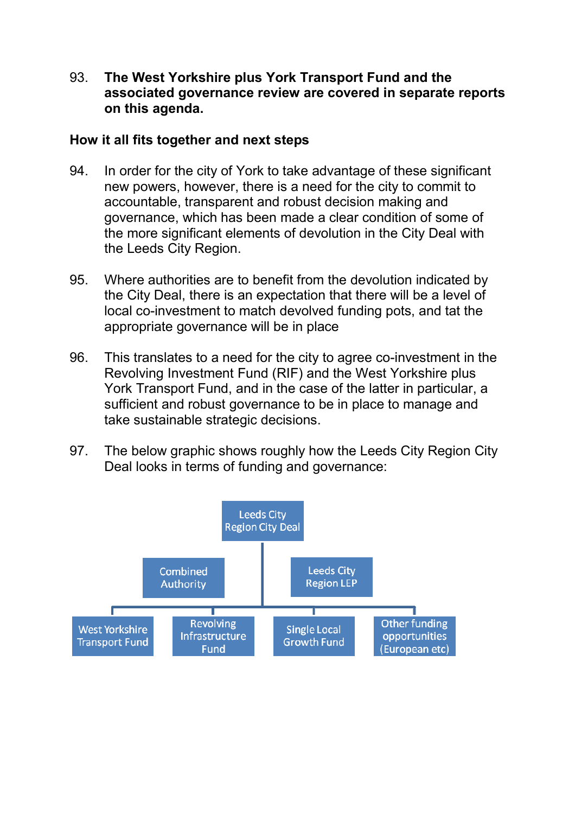93. **The West Yorkshire plus York Transport Fund and the associated governance review are covered in separate reports on this agenda.** 

#### **How it all fits together and next steps**

- 94. In order for the city of York to take advantage of these significant new powers, however, there is a need for the city to commit to accountable, transparent and robust decision making and governance, which has been made a clear condition of some of the more significant elements of devolution in the City Deal with the Leeds City Region.
- 95. Where authorities are to benefit from the devolution indicated by the City Deal, there is an expectation that there will be a level of local co-investment to match devolved funding pots, and tat the appropriate governance will be in place
- 96. This translates to a need for the city to agree co-investment in the Revolving Investment Fund (RIF) and the West Yorkshire plus York Transport Fund, and in the case of the latter in particular, a sufficient and robust governance to be in place to manage and take sustainable strategic decisions.
- 97. The below graphic shows roughly how the Leeds City Region City Deal looks in terms of funding and governance:

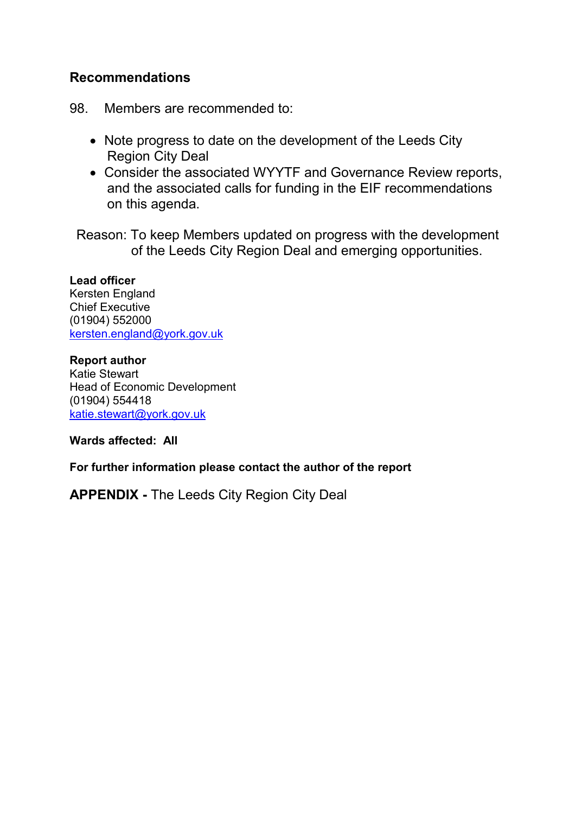#### **Recommendations**

98. Members are recommended to:

- Note progress to date on the development of the Leeds City Region City Deal
- Consider the associated WYYTF and Governance Review reports, and the associated calls for funding in the EIF recommendations on this agenda.

Reason: To keep Members updated on progress with the development of the Leeds City Region Deal and emerging opportunities.

#### **Lead officer**

Kersten England Chief Executive (01904) 552000 kersten.england@york.gov.uk

**Report author**  Katie Stewart Head of Economic Development (01904) 554418 katie.stewart@york.gov.uk

**Wards affected: All** 

**For further information please contact the author of the report** 

**APPENDIX -** The Leeds City Region City Deal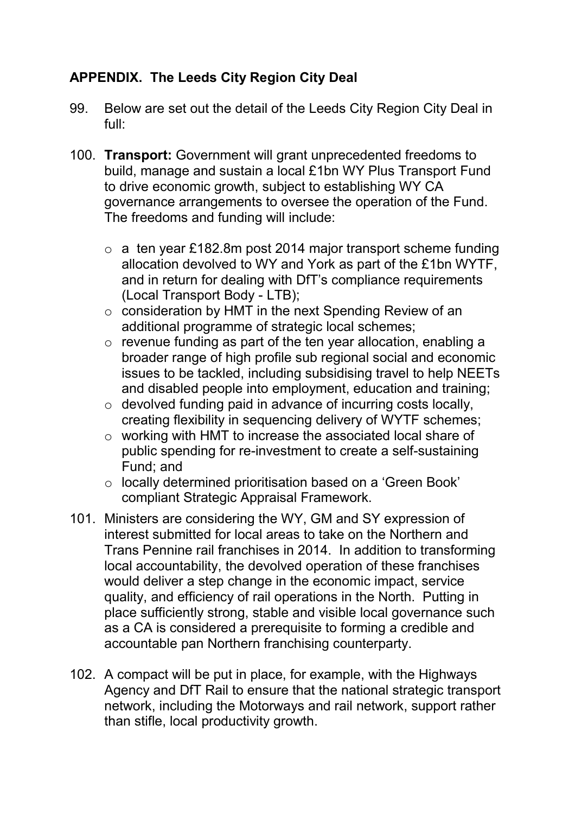## **APPENDIX. The Leeds City Region City Deal**

- 99. Below are set out the detail of the Leeds City Region City Deal in full:
- 100. **Transport:** Government will grant unprecedented freedoms to build, manage and sustain a local £1bn WY Plus Transport Fund to drive economic growth, subject to establishing WY CA governance arrangements to oversee the operation of the Fund. The freedoms and funding will include:
	- $\circ$  a ten year £182.8m post 2014 major transport scheme funding allocation devolved to WY and York as part of the £1bn WYTF, and in return for dealing with DfT's compliance requirements (Local Transport Body - LTB);
	- o consideration by HMT in the next Spending Review of an additional programme of strategic local schemes;
	- o revenue funding as part of the ten year allocation, enabling a broader range of high profile sub regional social and economic issues to be tackled, including subsidising travel to help NEETs and disabled people into employment, education and training;
	- o devolved funding paid in advance of incurring costs locally, creating flexibility in sequencing delivery of WYTF schemes;
	- o working with HMT to increase the associated local share of public spending for re-investment to create a self-sustaining Fund; and
	- o locally determined prioritisation based on a 'Green Book' compliant Strategic Appraisal Framework.
- 101. Ministers are considering the WY, GM and SY expression of interest submitted for local areas to take on the Northern and Trans Pennine rail franchises in 2014. In addition to transforming local accountability, the devolved operation of these franchises would deliver a step change in the economic impact, service quality, and efficiency of rail operations in the North. Putting in place sufficiently strong, stable and visible local governance such as a CA is considered a prerequisite to forming a credible and accountable pan Northern franchising counterparty.
- 102. A compact will be put in place, for example, with the Highways Agency and DfT Rail to ensure that the national strategic transport network, including the Motorways and rail network, support rather than stifle, local productivity growth.